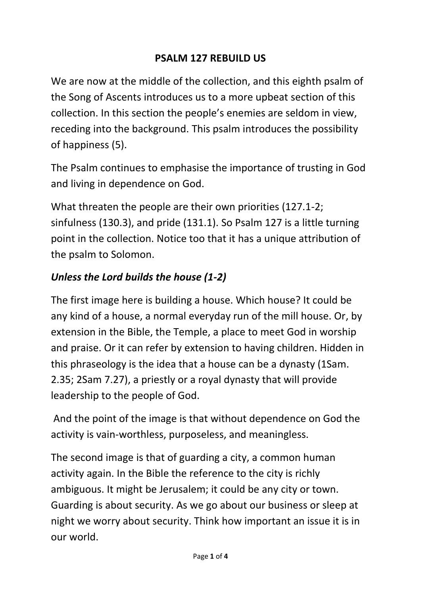#### **PSALM 127 REBUILD US**

We are now at the middle of the collection, and this eighth psalm of the Song of Ascents introduces us to a more upbeat section of this collection. In this section the people's enemies are seldom in view, receding into the background. This psalm introduces the possibility of happiness (5).

The Psalm continues to emphasise the importance of trusting in God and living in dependence on God.

What threaten the people are their own priorities (127.1-2; sinfulness (130.3), and pride (131.1). So Psalm 127 is a little turning point in the collection. Notice too that it has a unique attribution of the psalm to Solomon.

## *Unless the Lord builds the house (1-2)*

The first image here is building a house. Which house? It could be any kind of a house, a normal everyday run of the mill house. Or, by extension in the Bible, the Temple, a place to meet God in worship and praise. Or it can refer by extension to having children. Hidden in this phraseology is the idea that a house can be a dynasty (1Sam. 2.35; 2Sam 7.27), a priestly or a royal dynasty that will provide leadership to the people of God.

And the point of the image is that without dependence on God the activity is vain-worthless, purposeless, and meaningless.

The second image is that of guarding a city, a common human activity again. In the Bible the reference to the city is richly ambiguous. It might be Jerusalem; it could be any city or town. Guarding is about security. As we go about our business or sleep at night we worry about security. Think how important an issue it is in our world.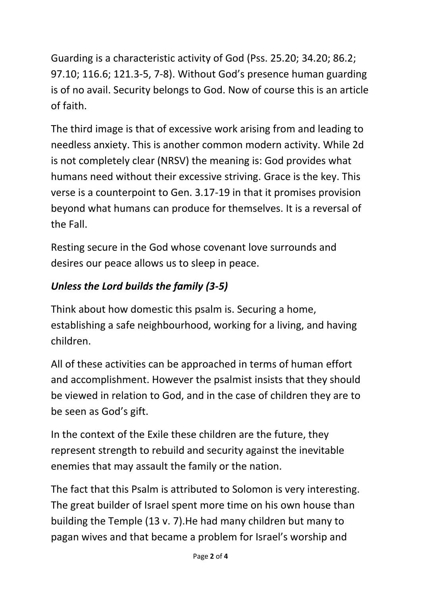Guarding is a characteristic activity of God (Pss. 25.20; 34.20; 86.2; 97.10; 116.6; 121.3-5, 7-8). Without God's presence human guarding is of no avail. Security belongs to God. Now of course this is an article of faith.

The third image is that of excessive work arising from and leading to needless anxiety. This is another common modern activity. While 2d is not completely clear (NRSV) the meaning is: God provides what humans need without their excessive striving. Grace is the key. This verse is a counterpoint to Gen. 3.17-19 in that it promises provision beyond what humans can produce for themselves. It is a reversal of the Fall.

Resting secure in the God whose covenant love surrounds and desires our peace allows us to sleep in peace.

# *Unless the Lord builds the family (3-5)*

Think about how domestic this psalm is. Securing a home, establishing a safe neighbourhood, working for a living, and having children.

All of these activities can be approached in terms of human effort and accomplishment. However the psalmist insists that they should be viewed in relation to God, and in the case of children they are to be seen as God's gift.

In the context of the Exile these children are the future, they represent strength to rebuild and security against the inevitable enemies that may assault the family or the nation.

The fact that this Psalm is attributed to Solomon is very interesting. The great builder of Israel spent more time on his own house than building the Temple (13 v. 7).He had many children but many to pagan wives and that became a problem for Israel's worship and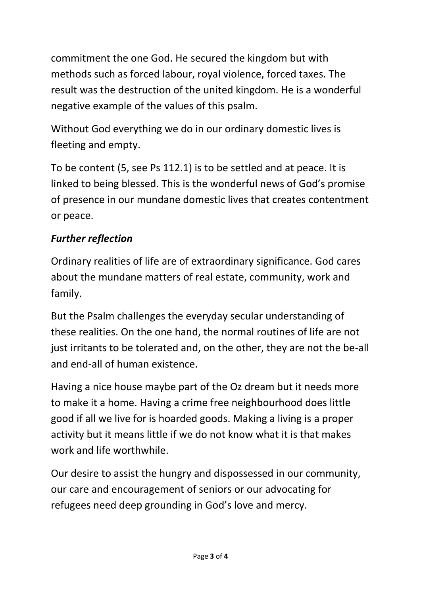commitment the one God. He secured the kingdom but with methods such as forced labour, royal violence, forced taxes. The result was the destruction of the united kingdom. He is a wonderful negative example of the values of this psalm.

Without God everything we do in our ordinary domestic lives is fleeting and empty.

To be content (5, see Ps 112.1) is to be settled and at peace. It is linked to being blessed. This is the wonderful news of God's promise of presence in our mundane domestic lives that creates contentment or peace.

### *Further reflection*

Ordinary realities of life are of extraordinary significance. God cares about the mundane matters of real estate, community, work and family.

But the Psalm challenges the everyday secular understanding of these realities. On the one hand, the normal routines of life are not just irritants to be tolerated and, on the other, they are not the be-all and end-all of human existence.

Having a nice house maybe part of the Oz dream but it needs more to make it a home. Having a crime free neighbourhood does little good if all we live for is hoarded goods. Making a living is a proper activity but it means little if we do not know what it is that makes work and life worthwhile.

Our desire to assist the hungry and dispossessed in our community, our care and encouragement of seniors or our advocating for refugees need deep grounding in God's love and mercy.